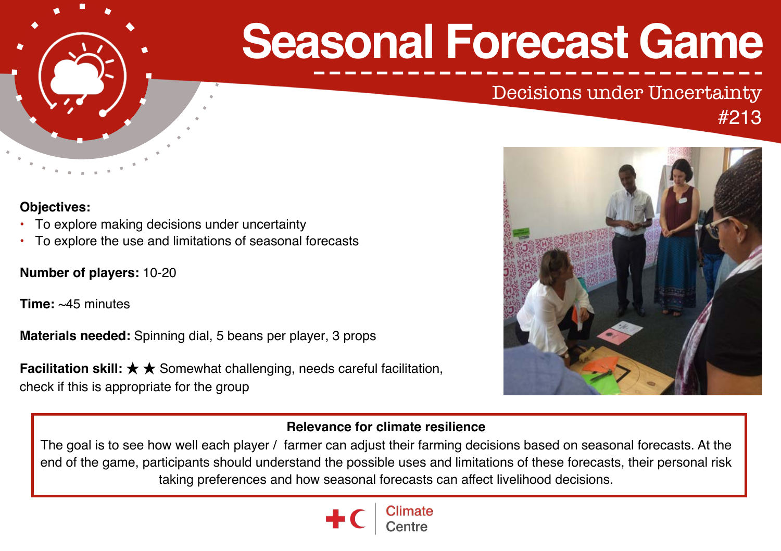

# **Seasonal Forecast Game**

# Decisions under Uncertainty #213

# **Objectives:**

- To explore making decisions under uncertainty
- To explore the use and limitations of seasonal forecasts

**Number of players:** 10-20

**Time:** ~45 minutes

**Materials needed:** Spinning dial, 5 beans per player, 3 props

**Facilitation skill: ★ ★** Somewhat challenging, needs careful facilitation, check if this is appropriate for the group



## **Relevance for climate resilience**

The goal is to see how well each player / farmer can adjust their farming decisions based on seasonal forecasts. At the end of the game, participants should understand the possible uses and limitations of these forecasts, their personal risk taking preferences and how seasonal forecasts can affect livelihood decisions.